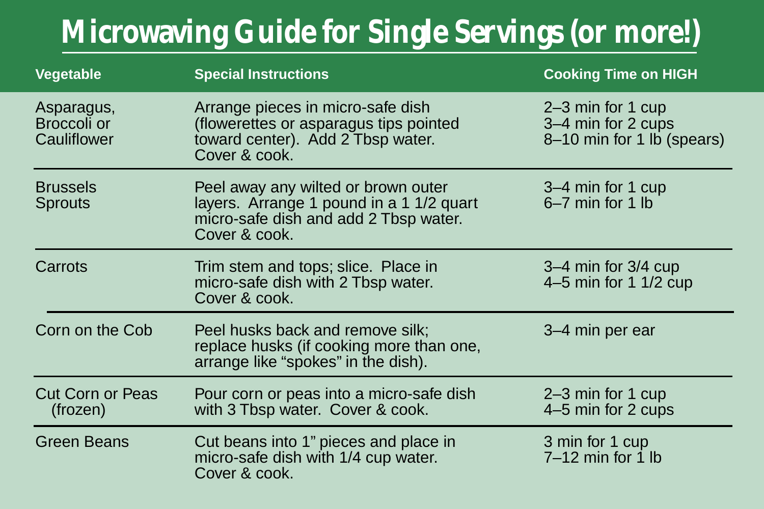## **Microwaving Guide for Single Servings (or more!)**

| Vegetable                                | <b>Special Instructions</b>                                                                                                               | <b>Cooking Time on HIGH</b>                                           |
|------------------------------------------|-------------------------------------------------------------------------------------------------------------------------------------------|-----------------------------------------------------------------------|
| Asparagus,<br>Broccoli or<br>Cauliflower | Arrange pieces in micro-safe dish<br>(flowerettes or asparagus tips pointed<br>toward center). Add 2 Tbsp water.<br>Cover & cook.         | 2–3 min for 1 cup<br>3–4 min for 2 cups<br>8-10 min for 1 lb (spears) |
| <b>Brussels</b><br><b>Sprouts</b>        | Peel away any wilted or brown outer<br>layers. Arrange 1 pound in a 1 1/2 quart<br>micro-safe dish and add 2 Tbsp water.<br>Cover & cook. | 3–4 min for 1 cup<br>6-7 min for 1 lb                                 |
| Carrots                                  | Trim stem and tops; slice. Place in<br>micro-safe dish with 2 Tbsp water.<br>Cover & cook.                                                | $3-4$ min for $3/4$ cup<br>4 $-5$ min for 1 1/2 cup                   |
| Corn on the Cob                          | Peel husks back and remove silk;<br>replace husks (if cooking more than one,<br>arrange like "spokes" in the dish).                       | 3–4 min per ear                                                       |
| <b>Cut Corn or Peas</b><br>(frozen)      | Pour corn or peas into a micro-safe dish<br>with 3 Tbsp water. Cover & cook.                                                              | 2-3 min for 1 cup<br>4-5 min for 2 cups                               |
| <b>Green Beans</b>                       | Cut beans into 1" pieces and place in<br>micro-safe dish with 1/4 cup water.<br>Cover & cook.                                             | 3 min for 1 cup<br>$7-12$ min for 1 lb                                |